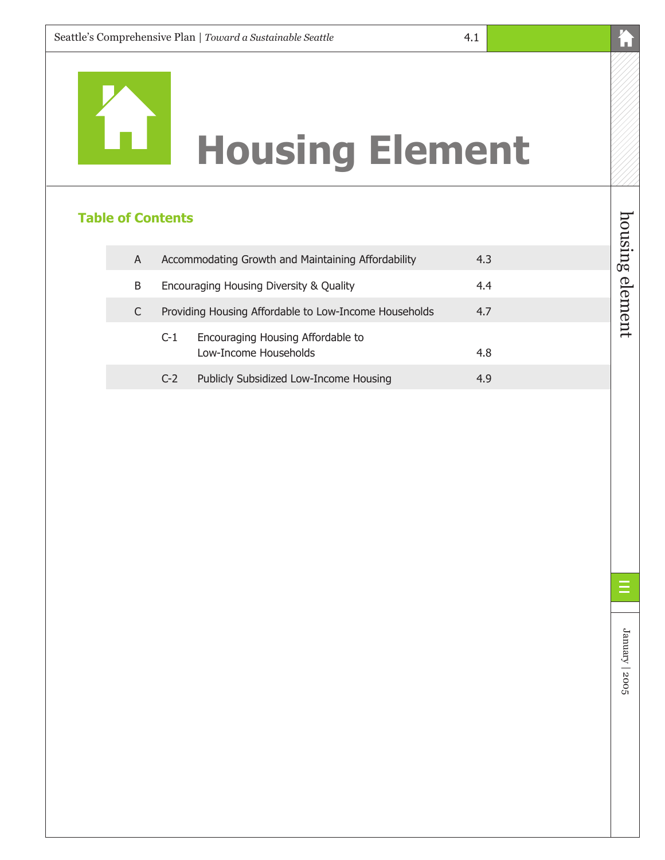

# **Housing Element**

# **Table of Contents**

| A |       | Accommodating Growth and Maintaining Affordability         | 4.3 |
|---|-------|------------------------------------------------------------|-----|
| B |       | Encouraging Housing Diversity & Quality                    | 4.4 |
| C |       | Providing Housing Affordable to Low-Income Households      | 4.7 |
|   | $C-1$ | Encouraging Housing Affordable to<br>Low-Income Households | 4.8 |
|   | $C-2$ | Publicly Subsidized Low-Income Housing                     | 4.9 |

í.

January  $|2005$ January | 2005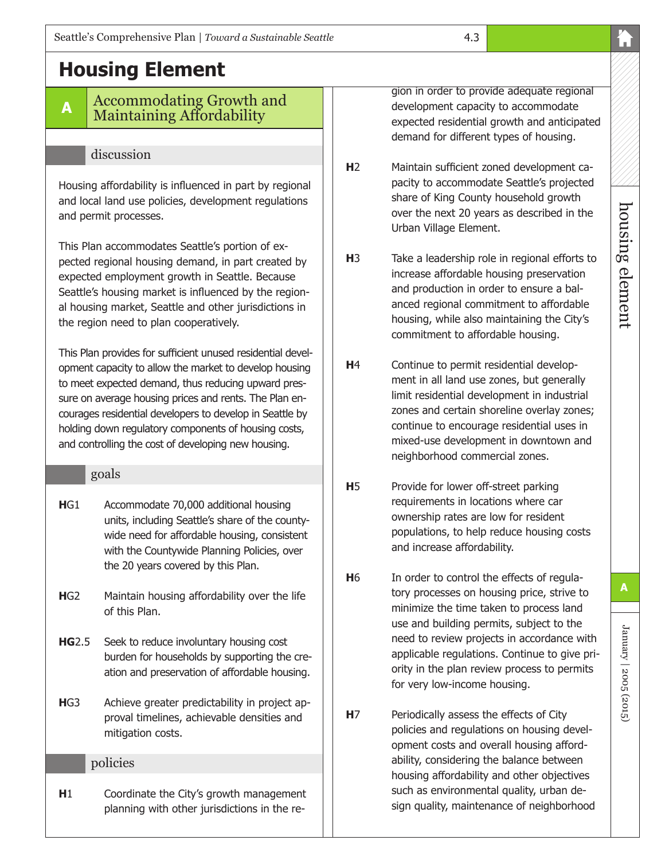# **Housing Element**

# **A** Accommodating Growth and Maintaining Affordability

# discussion

Housing affordability is influenced in part by regional and local land use policies, development regulations and permit processes.

This Plan accommodates Seattle's portion of expected regional housing demand, in part created by expected employment growth in Seattle. Because Seattle's housing market is influenced by the regional housing market, Seattle and other jurisdictions in the region need to plan cooperatively.

This Plan provides for sufficient unused residential development capacity to allow the market to develop housing to meet expected demand, thus reducing upward pressure on average housing prices and rents. The Plan encourages residential developers to develop in Seattle by holding down regulatory components of housing costs, and controlling the cost of developing new housing.

#### goals

- **H**G1 Accommodate 70,000 additional housing units, including Seattle's share of the countywide need for affordable housing, consistent with the Countywide Planning Policies, over the 20 years covered by this Plan.
- **H**G2 Maintain housing affordability over the life of this Plan.
- **HG**2.5 Seek to reduce involuntary housing cost burden for households by supporting the creation and preservation of affordable housing.
- **H**G3 Achieve greater predictability in project approval timelines, achievable densities and mitigation costs.

#### policies

**H**1 Coordinate the City's growth management planning with other jurisdictions in the region in order to provide adequate regional development capacity to accommodate expected residential growth and anticipated demand for different types of housing.

- **H**2 Maintain sufficient zoned development capacity to accommodate Seattle's projected share of King County household growth over the next 20 years as described in the Urban Village Element.
- **H**3 Take a leadership role in regional efforts to increase affordable housing preservation and production in order to ensure a balanced regional commitment to affordable housing, while also maintaining the City's commitment to affordable housing.
- **H**4 Continue to permit residential development in all land use zones, but generally limit residential development in industrial zones and certain shoreline overlay zones; continue to encourage residential uses in mixed-use development in downtown and neighborhood commercial zones.
- **H**5 Provide for lower off-street parking requirements in locations where car ownership rates are low for resident populations, to help reduce housing costs and increase affordability.
- **H**6 In order to control the effects of regulatory processes on housing price, strive to minimize the time taken to process land use and building permits, subject to the need to review projects in accordance with applicable regulations. Continue to give priority in the plan review process to permits for very low-income housing.
- **H**7 Periodically assess the effects of City policies and regulations on housing development costs and overall housing affordability, considering the balance between housing affordability and other objectives such as environmental quality, urban design quality, maintenance of neighborhood

January | 2005 (2015)

January | 2005 (2015)

**A**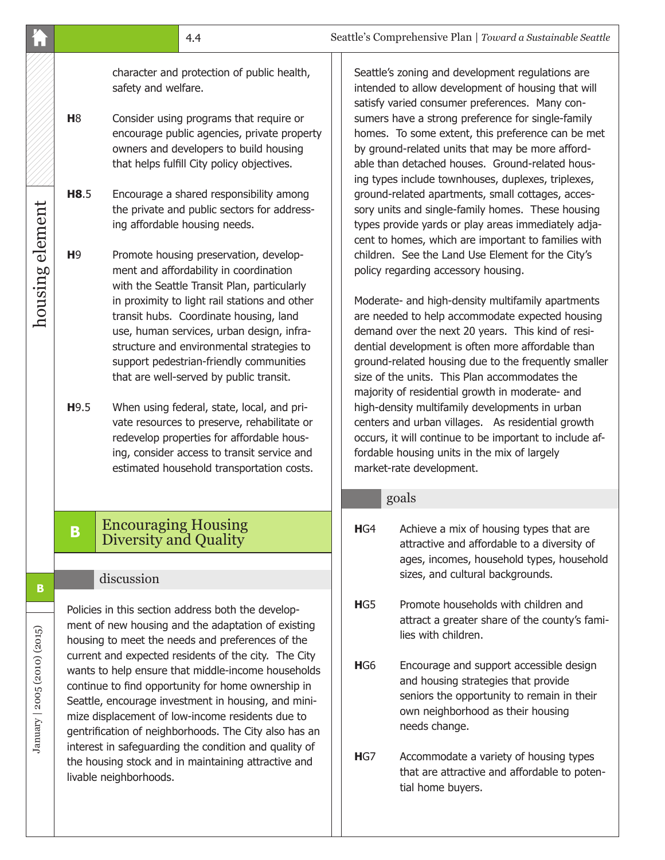| L۱                           |                                                                                                                                                                                                                                                                                                                                                                                                                                                                                                                                                               | 4.4                                                                                                                                                                                                                                                                                                                                                                                                                                                                                                                                                                                                                                                                                                            |                                                                                                                                                                                                                      |                        | Seattle's Comprehensive Plan   Toward a Sustainable Seattle                                                                                                                                                                                                                                                                                                                                                                                                                                                                                                                                                                                                                                                                                                                                                                                                          |
|------------------------------|---------------------------------------------------------------------------------------------------------------------------------------------------------------------------------------------------------------------------------------------------------------------------------------------------------------------------------------------------------------------------------------------------------------------------------------------------------------------------------------------------------------------------------------------------------------|----------------------------------------------------------------------------------------------------------------------------------------------------------------------------------------------------------------------------------------------------------------------------------------------------------------------------------------------------------------------------------------------------------------------------------------------------------------------------------------------------------------------------------------------------------------------------------------------------------------------------------------------------------------------------------------------------------------|----------------------------------------------------------------------------------------------------------------------------------------------------------------------------------------------------------------------|------------------------|----------------------------------------------------------------------------------------------------------------------------------------------------------------------------------------------------------------------------------------------------------------------------------------------------------------------------------------------------------------------------------------------------------------------------------------------------------------------------------------------------------------------------------------------------------------------------------------------------------------------------------------------------------------------------------------------------------------------------------------------------------------------------------------------------------------------------------------------------------------------|
|                              | H8                                                                                                                                                                                                                                                                                                                                                                                                                                                                                                                                                            | character and protection of public health,<br>safety and welfare.<br>Consider using programs that require or<br>encourage public agencies, private property<br>owners and developers to build housing<br>that helps fulfill City policy objectives.                                                                                                                                                                                                                                                                                                                                                                                                                                                            |                                                                                                                                                                                                                      |                        | Seattle's zoning and development regulations are<br>intended to allow development of housing that will<br>satisfy varied consumer preferences. Many con-<br>sumers have a strong preference for single-family<br>homes. To some extent, this preference can be met<br>by ground-related units that may be more afford-<br>able than detached houses. Ground-related hous-<br>ing types include townhouses, duplexes, triplexes,                                                                                                                                                                                                                                                                                                                                                                                                                                      |
| housing element              | H8.5                                                                                                                                                                                                                                                                                                                                                                                                                                                                                                                                                          | Encourage a shared responsibility among<br>the private and public sectors for address-<br>ing affordable housing needs.                                                                                                                                                                                                                                                                                                                                                                                                                                                                                                                                                                                        | ground-related apartments, small cottages, acces-<br>sory units and single-family homes. These housing<br>types provide yards or play areas immediately adja-<br>cent to homes, which are important to families with |                        |                                                                                                                                                                                                                                                                                                                                                                                                                                                                                                                                                                                                                                                                                                                                                                                                                                                                      |
|                              | H <sub>9</sub><br>H <sub>9.5</sub><br>B                                                                                                                                                                                                                                                                                                                                                                                                                                                                                                                       | Promote housing preservation, develop-<br>ment and affordability in coordination<br>with the Seattle Transit Plan, particularly<br>in proximity to light rail stations and other<br>transit hubs. Coordinate housing, land<br>use, human services, urban design, infra-<br>structure and environmental strategies to<br>support pedestrian-friendly communities<br>that are well-served by public transit.<br>When using federal, state, local, and pri-<br>vate resources to preserve, rehabilitate or<br>redevelop properties for affordable hous-<br>ing, consider access to transit service and<br>estimated household transportation costs.<br><b>Encouraging Housing</b><br><b>Diversity and Quality</b> |                                                                                                                                                                                                                      | HG4                    | children. See the Land Use Element for the City's<br>policy regarding accessory housing.<br>Moderate- and high-density multifamily apartments<br>are needed to help accommodate expected housing<br>demand over the next 20 years. This kind of resi-<br>dential development is often more affordable than<br>ground-related housing due to the frequently smaller<br>size of the units. This Plan accommodates the<br>majority of residential growth in moderate- and<br>high-density multifamily developments in urban<br>centers and urban villages. As residential growth<br>occurs, it will continue to be important to include af-<br>fordable housing units in the mix of largely<br>market-rate development.<br>goals<br>Achieve a mix of housing types that are<br>attractive and affordable to a diversity of<br>ages, incomes, household types, household |
| B                            |                                                                                                                                                                                                                                                                                                                                                                                                                                                                                                                                                               | discussion                                                                                                                                                                                                                                                                                                                                                                                                                                                                                                                                                                                                                                                                                                     |                                                                                                                                                                                                                      |                        | sizes, and cultural backgrounds.                                                                                                                                                                                                                                                                                                                                                                                                                                                                                                                                                                                                                                                                                                                                                                                                                                     |
| January   2005 (2010) (2015) | Policies in this section address both the develop-<br>ment of new housing and the adaptation of existing<br>housing to meet the needs and preferences of the<br>current and expected residents of the city. The City<br>wants to help ensure that middle-income households<br>continue to find opportunity for home ownership in<br>Seattle, encourage investment in housing, and mini-<br>mize displacement of low-income residents due to<br>gentrification of neighborhoods. The City also has an<br>interest in safeguarding the condition and quality of |                                                                                                                                                                                                                                                                                                                                                                                                                                                                                                                                                                                                                                                                                                                |                                                                                                                                                                                                                      | HG5<br>HG <sub>6</sub> | Promote households with children and<br>attract a greater share of the county's fami-<br>lies with children.<br>Encourage and support accessible design<br>and housing strategies that provide<br>seniors the opportunity to remain in their<br>own neighborhood as their housing<br>needs change.                                                                                                                                                                                                                                                                                                                                                                                                                                                                                                                                                                   |
|                              | the housing stock and in maintaining attractive and<br>livable neighborhoods.                                                                                                                                                                                                                                                                                                                                                                                                                                                                                 |                                                                                                                                                                                                                                                                                                                                                                                                                                                                                                                                                                                                                                                                                                                |                                                                                                                                                                                                                      | HG7                    | Accommodate a variety of housing types<br>that are attractive and affordable to poten-<br>tial home buyers.                                                                                                                                                                                                                                                                                                                                                                                                                                                                                                                                                                                                                                                                                                                                                          |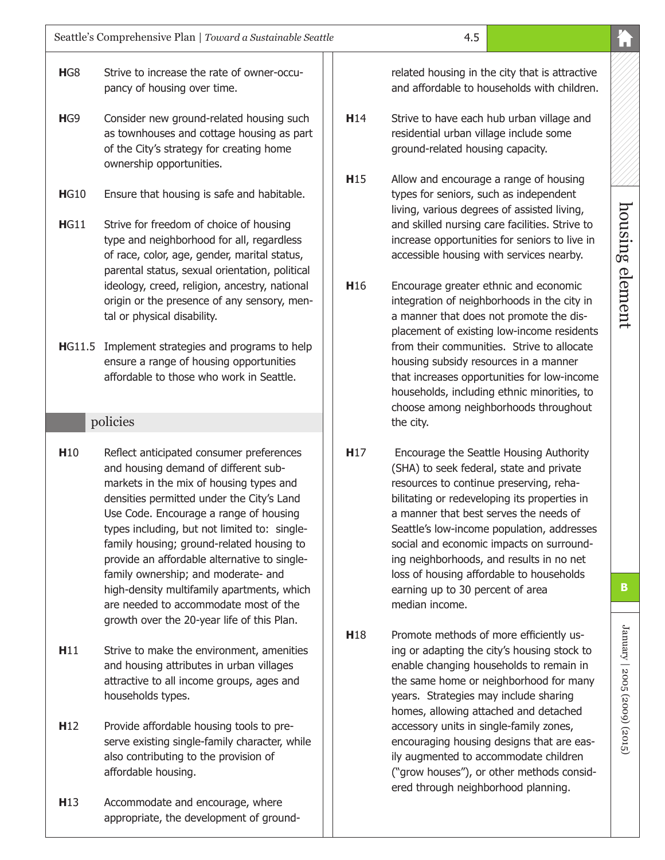- **H**G8 Strive to increase the rate of owner-occupancy of housing over time.
- **HG9** Consider new ground-related housing such as townhouses and cottage housing as part of the City's strategy for creating home ownership opportunities.
- **HG10** Ensure that housing is safe and habitable.
- **HG11** Strive for freedom of choice of housing type and neighborhood for all, regardless of race, color, age, gender, marital status, parental status, sexual orientation, political ideology, creed, religion, ancestry, national origin or the presence of any sensory, mental or physical disability.
- **H**G11.5 Implement strategies and programs to help ensure a range of housing opportunities affordable to those who work in Seattle.

#### policies

- **H**10 Reflect anticipated consumer preferences and housing demand of different submarkets in the mix of housing types and densities permitted under the City's Land Use Code. Encourage a range of housing types including, but not limited to: singlefamily housing; ground-related housing to provide an affordable alternative to singlefamily ownership; and moderate- and high-density multifamily apartments, which are needed to accommodate most of the growth over the 20-year life of this Plan.
- **H11** Strive to make the environment, amenities and housing attributes in urban villages attractive to all income groups, ages and households types.
- **H12** Provide affordable housing tools to preserve existing single-family character, while also contributing to the provision of affordable housing.
- **H13** Accommodate and encourage, where appropriate, the development of ground-

related housing in the city that is attractive and affordable to households with children.

- **H14** Strive to have each hub urban village and residential urban village include some ground-related housing capacity.
- **H15** Allow and encourage a range of housing types for seniors, such as independent living, various degrees of assisted living, and skilled nursing care facilities. Strive to increase opportunities for seniors to live in accessible housing with services nearby.
- **H16** Encourage greater ethnic and economic integration of neighborhoods in the city in a manner that does not promote the displacement of existing low-income residents from their communities. Strive to allocate housing subsidy resources in a manner that increases opportunities for low-income households, including ethnic minorities, to choose among neighborhoods throughout the city.
- **H17** Encourage the Seattle Housing Authority (SHA) to seek federal, state and private resources to continue preserving, rehabilitating or redeveloping its properties in a manner that best serves the needs of Seattle's low-income population, addresses social and economic impacts on surrounding neighborhoods, and results in no net loss of housing affordable to households earning up to 30 percent of area median income.
- **H18** Promote methods of more efficiently using or adapting the city's housing stock to enable changing households to remain in the same home or neighborhood for many years. Strategies may include sharing homes, allowing attached and detached accessory units in single-family zones, encouraging housing designs that are easily augmented to accommodate children ("grow houses"), or other methods considered through neighborhood planning.

January | 2005 (2009) (2015)

January | 2005 (2009) (2015)

**B**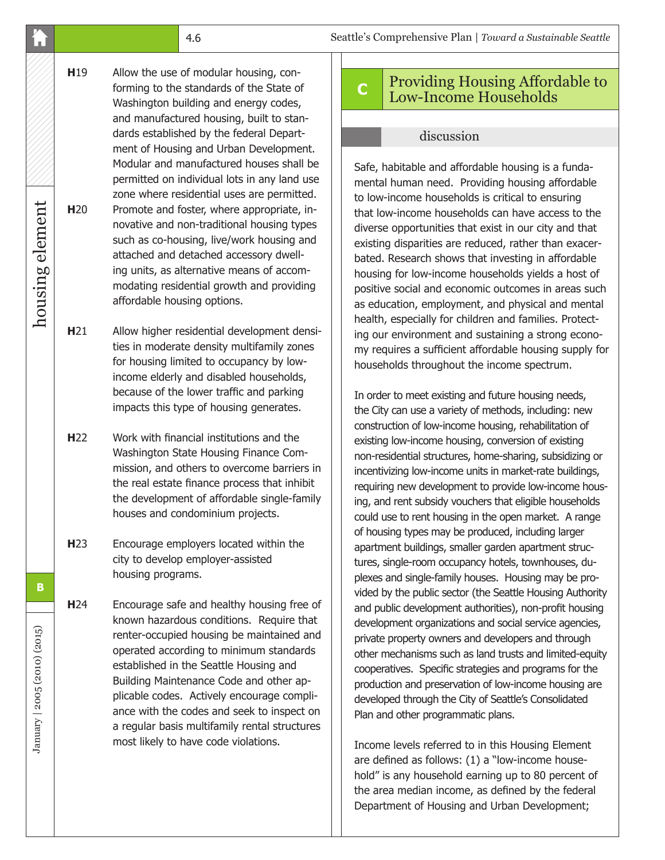**H**19 Allow the use of modular housing, conforming to the standards of the State of Washington building and energy codes, and manufactured housing, built to standards established by the federal Department of Housing and Urban Development. Modular and manufactured houses shall be permitted on individual lots in any land use zone where residential uses are permitted. **H20** Promote and foster, where appropriate, innovative and non-traditional housing types such as co-housing, live/work housing and attached and detached accessory dwelling units, as alternative means of accommodating residential growth and providing affordable housing options.

housing element

housing element

January | 2005 (2010) (2015)

January | 2005 (2010) (2015)

**B**

**H**21 Allow higher residential development densities in moderate density multifamily zones for housing limited to occupancy by lowincome elderly and disabled households, because of the lower traffic and parking impacts this type of housing generates.

**H**22 Work with financial institutions and the Washington State Housing Finance Commission, and others to overcome barriers in the real estate finance process that inhibit the development of affordable single-family houses and condominium projects.

**H**23 Encourage employers located within the city to develop employer-assisted housing programs.

**H24** Encourage safe and healthy housing free of known hazardous conditions. Require that renter-occupied housing be maintained and operated according to minimum standards established in the Seattle Housing and Building Maintenance Code and other applicable codes. Actively encourage compliance with the codes and seek to inspect on a regular basis multifamily rental structures most likely to have code violations.

### **<sup>C</sup>** Providing Housing Affordable to Low-Income Households

#### discussion

Safe, habitable and affordable housing is a fundamental human need. Providing housing affordable to low-income households is critical to ensuring that low-income households can have access to the diverse opportunities that exist in our city and that existing disparities are reduced, rather than exacerbated. Research shows that investing in affordable housing for low-income households yields a host of positive social and economic outcomes in areas such as education, employment, and physical and mental health, especially for children and families. Protecting our environment and sustaining a strong economy requires a sufficient affordable housing supply for households throughout the income spectrum.

In order to meet existing and future housing needs, the City can use a variety of methods, including: new construction of low-income housing, rehabilitation of existing low-income housing, conversion of existing non-residential structures, home-sharing, subsidizing or incentivizing low-income units in market-rate buildings, requiring new development to provide low-income housing, and rent subsidy vouchers that eligible households could use to rent housing in the open market. A range of housing types may be produced, including larger apartment buildings, smaller garden apartment structures, single-room occupancy hotels, townhouses, duplexes and single-family houses. Housing may be provided by the public sector (the Seattle Housing Authority and public development authorities), non-profit housing development organizations and social service agencies, private property owners and developers and through other mechanisms such as land trusts and limited-equity cooperatives. Specific strategies and programs for the production and preservation of low-income housing are developed through the City of Seattle's Consolidated Plan and other programmatic plans.

Income levels referred to in this Housing Element are defined as follows: (1) a "low-income household" is any household earning up to 80 percent of the area median income, as defined by the federal Department of Housing and Urban Development;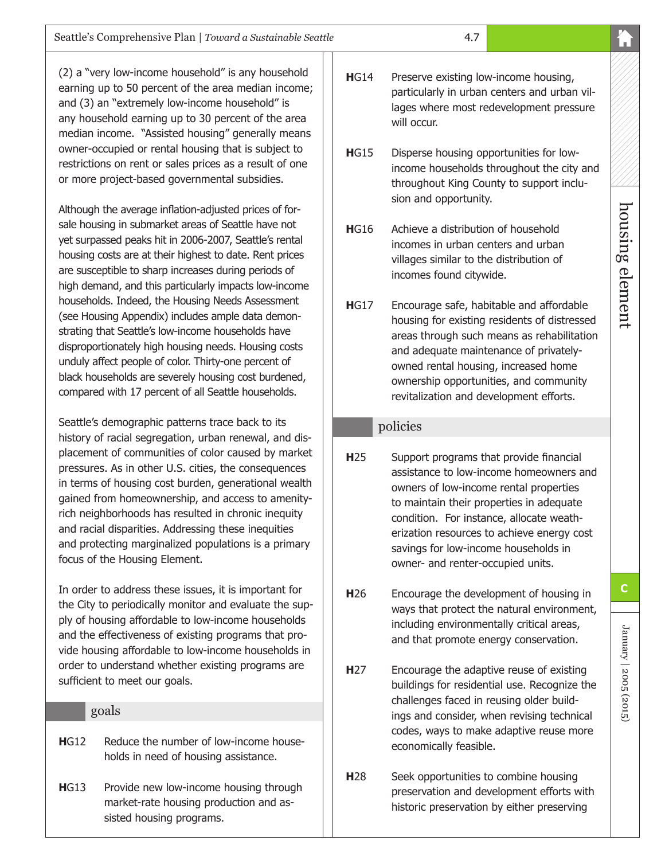(2) a "very low-income household" is any household earning up to 50 percent of the area median income; and (3) an "extremely low-income household" is any household earning up to 30 percent of the area median income. "Assisted housing" generally means owner-occupied or rental housing that is subject to restrictions on rent or sales prices as a result of one or more project-based governmental subsidies.

Although the average inflation-adjusted prices of forsale housing in submarket areas of Seattle have not yet surpassed peaks hit in 2006-2007, Seattle's rental housing costs are at their highest to date. Rent prices are susceptible to sharp increases during periods of high demand, and this particularly impacts low-income households. Indeed, the Housing Needs Assessment (see Housing Appendix) includes ample data demonstrating that Seattle's low-income households have disproportionately high housing needs. Housing costs unduly affect people of color. Thirty-one percent of black households are severely housing cost burdened, compared with 17 percent of all Seattle households.

Seattle's demographic patterns trace back to its history of racial segregation, urban renewal, and displacement of communities of color caused by market pressures. As in other U.S. cities, the consequences in terms of housing cost burden, generational wealth gained from homeownership, and access to amenityrich neighborhoods has resulted in chronic inequity and racial disparities. Addressing these inequities and protecting marginalized populations is a primary focus of the Housing Element.

In order to address these issues, it is important for the City to periodically monitor and evaluate the supply of housing affordable to low-income households and the effectiveness of existing programs that provide housing affordable to low-income households in order to understand whether existing programs are sufficient to meet our goals.

#### goals

- **H**G12 Reduce the number of low-income households in need of housing assistance.
- **HG13** Provide new low-income housing through market-rate housing production and assisted housing programs.
- **HG14** Preserve existing low-income housing, particularly in urban centers and urban villages where most redevelopment pressure will occur.
- **H**G15 Disperse housing opportunities for lowincome households throughout the city and throughout King County to support inclusion and opportunity.
- **H**G16 Achieve a distribution of household incomes in urban centers and urban villages similar to the distribution of incomes found citywide.
- **H**G17 Encourage safe, habitable and affordable housing for existing residents of distressed areas through such means as rehabilitation and adequate maintenance of privatelyowned rental housing, increased home ownership opportunities, and community revitalization and development efforts.

#### policies

- **H**25 Support programs that provide financial assistance to low-income homeowners and owners of low-income rental properties to maintain their properties in adequate condition. For instance, allocate weatherization resources to achieve energy cost savings for low-income households in owner- and renter-occupied units.
- **H26** Encourage the development of housing in ways that protect the natural environment, including environmentally critical areas, and that promote energy conservation.
- **H27** Encourage the adaptive reuse of existing buildings for residential use. Recognize the challenges faced in reusing older buildings and consider, when revising technical codes, ways to make adaptive reuse more economically feasible.
- **H28** Seek opportunities to combine housing preservation and development efforts with historic preservation by either preserving

January | 2005 (2015)

January | 2005 (2015)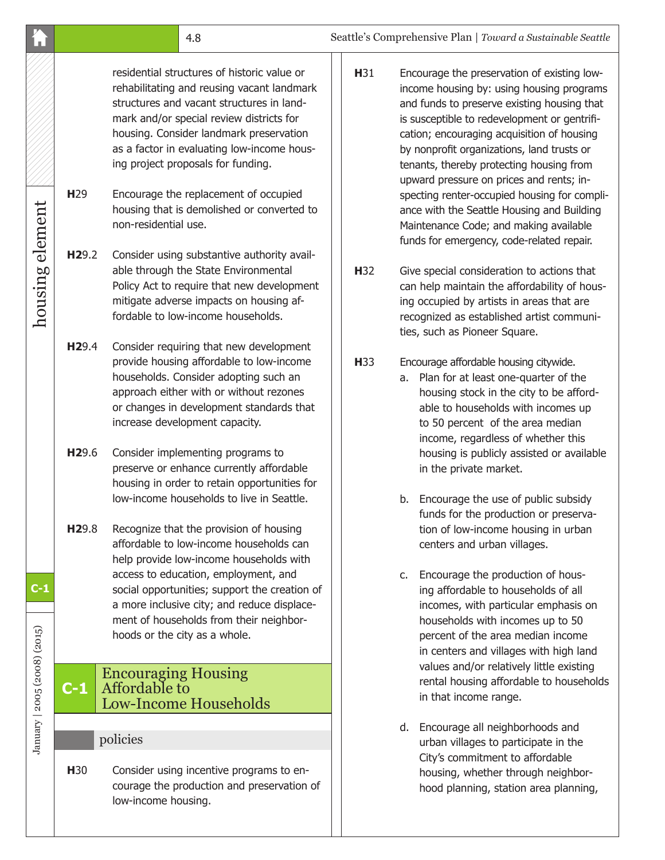|                                       |                   |                                                                             | 4.8                                                                                                                                                                                                                                                                                                               |                 |    | Seattle's Comprehensive Plan   Toward a Sustainable Seattle                                                                                                                                                                                                                                                                                                                 |
|---------------------------------------|-------------------|-----------------------------------------------------------------------------|-------------------------------------------------------------------------------------------------------------------------------------------------------------------------------------------------------------------------------------------------------------------------------------------------------------------|-----------------|----|-----------------------------------------------------------------------------------------------------------------------------------------------------------------------------------------------------------------------------------------------------------------------------------------------------------------------------------------------------------------------------|
|                                       |                   |                                                                             | residential structures of historic value or<br>rehabilitating and reusing vacant landmark<br>structures and vacant structures in land-<br>mark and/or special review districts for<br>housing. Consider landmark preservation<br>as a factor in evaluating low-income hous-<br>ing project proposals for funding. | H31             |    | Encourage the preservation of existing low-<br>income housing by: using housing programs<br>and funds to preserve existing housing that<br>is susceptible to redevelopment or gentrifi-<br>cation; encouraging acquisition of housing<br>by nonprofit organizations, land trusts or<br>tenants, thereby protecting housing from<br>upward pressure on prices and rents; in- |
| housing element                       | H <sub>29</sub>   | non-residential use.                                                        | Encourage the replacement of occupied<br>housing that is demolished or converted to                                                                                                                                                                                                                               |                 |    | specting renter-occupied housing for compli-<br>ance with the Seattle Housing and Building<br>Maintenance Code; and making available<br>funds for emergency, code-related repair.                                                                                                                                                                                           |
|                                       | H <sub>29.2</sub> |                                                                             | Consider using substantive authority avail-<br>able through the State Environmental<br>Policy Act to require that new development<br>mitigate adverse impacts on housing af-<br>fordable to low-income households.                                                                                                | H <sub>32</sub> |    | Give special consideration to actions that<br>can help maintain the affordability of hous-<br>ing occupied by artists in areas that are<br>recognized as established artist communi-<br>ties, such as Pioneer Square.                                                                                                                                                       |
|                                       | H <sub>29.4</sub> | increase development capacity.                                              | Consider requiring that new development<br>provide housing affordable to low-income<br>households. Consider adopting such an<br>approach either with or without rezones<br>or changes in development standards that                                                                                               | H <sub>33</sub> |    | Encourage affordable housing citywide.<br>a. Plan for at least one-quarter of the<br>housing stock in the city to be afford-<br>able to households with incomes up<br>to 50 percent of the area median<br>income, regardless of whether this                                                                                                                                |
| $C-1$<br>January   2005 (2008) (2015) | H <sub>29.6</sub> |                                                                             | Consider implementing programs to<br>preserve or enhance currently affordable<br>housing in order to retain opportunities for                                                                                                                                                                                     |                 |    | housing is publicly assisted or available<br>in the private market.                                                                                                                                                                                                                                                                                                         |
|                                       | H <sub>29.8</sub> |                                                                             | low-income households to live in Seattle.<br>Recognize that the provision of housing<br>affordable to low-income households can<br>help provide low-income households with                                                                                                                                        |                 |    | b. Encourage the use of public subsidy<br>funds for the production or preserva-<br>tion of low-income housing in urban<br>centers and urban villages.                                                                                                                                                                                                                       |
|                                       |                   | hoods or the city as a whole.                                               | access to education, employment, and<br>social opportunities; support the creation of<br>a more inclusive city; and reduce displace-<br>ment of households from their neighbor-                                                                                                                                   |                 | c. | Encourage the production of hous-<br>ing affordable to households of all<br>incomes, with particular emphasis on<br>households with incomes up to 50<br>percent of the area median income<br>in centers and villages with high land                                                                                                                                         |
|                                       | $C-1$             | <b>Encouraging Housing</b><br>Affordable to<br><b>Low-Income Households</b> |                                                                                                                                                                                                                                                                                                                   |                 |    | values and/or relatively little existing<br>rental housing affordable to households<br>in that income range.                                                                                                                                                                                                                                                                |
|                                       |                   | policies                                                                    |                                                                                                                                                                                                                                                                                                                   |                 | d. | Encourage all neighborhoods and<br>urban villages to participate in the<br>City's commitment to affordable                                                                                                                                                                                                                                                                  |
|                                       | H <sub>30</sub>   | low-income housing.                                                         | Consider using incentive programs to en-<br>courage the production and preservation of                                                                                                                                                                                                                            |                 |    | housing, whether through neighbor-<br>hood planning, station area planning,                                                                                                                                                                                                                                                                                                 |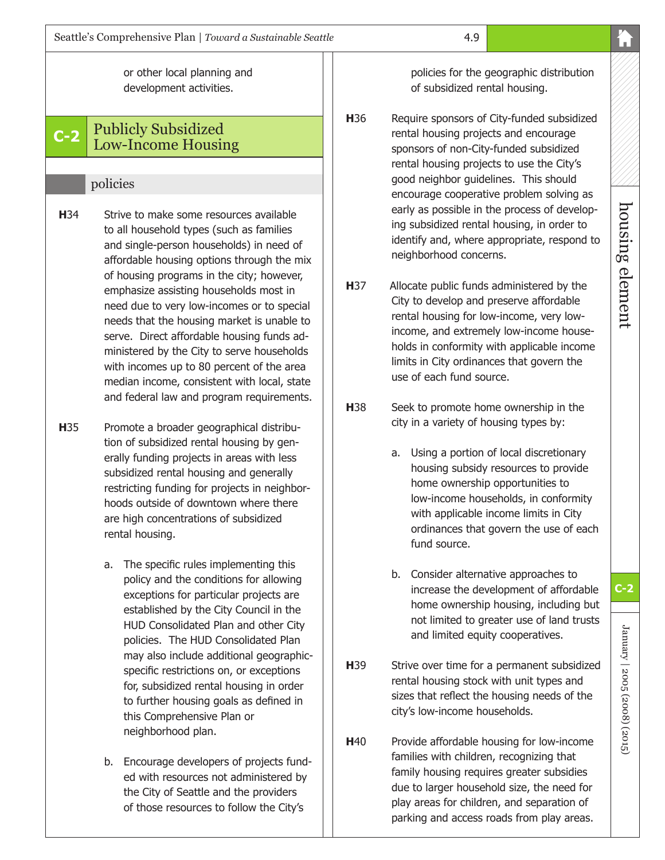or other local planning and development activities.

# **C-2** Publicly Subsidized Low-Income Housing

#### policies

- **H**34 Strive to make some resources available to all household types (such as families and single-person households) in need of affordable housing options through the mix of housing programs in the city; however, emphasize assisting households most in need due to very low-incomes or to special needs that the housing market is unable to serve. Direct affordable housing funds administered by the City to serve households with incomes up to 80 percent of the area median income, consistent with local, state and federal law and program requirements.
- **H**35 Promote a broader geographical distribution of subsidized rental housing by generally funding projects in areas with less subsidized rental housing and generally restricting funding for projects in neighborhoods outside of downtown where there are high concentrations of subsidized rental housing.
	- a. The specific rules implementing this policy and the conditions for allowing exceptions for particular projects are established by the City Council in the HUD Consolidated Plan and other City policies. The HUD Consolidated Plan may also include additional geographicspecific restrictions on, or exceptions for, subsidized rental housing in order to further housing goals as defined in this Comprehensive Plan or neighborhood plan.
	- b. Encourage developers of projects funded with resources not administered by the City of Seattle and the providers of those resources to follow the City's

policies for the geographic distribution of subsidized rental housing.

- **H**36 Require sponsors of City-funded subsidized rental housing projects and encourage sponsors of non-City-funded subsidized rental housing projects to use the City's good neighbor guidelines. This should encourage cooperative problem solving as early as possible in the process of developing subsidized rental housing, in order to identify and, where appropriate, respond to neighborhood concerns.
- **H**37 Allocate public funds administered by the City to develop and preserve affordable rental housing for low-income, very lowincome, and extremely low-income households in conformity with applicable income limits in City ordinances that govern the use of each fund source.
- **H**38 Seek to promote home ownership in the city in a variety of housing types by:
	- a. Using a portion of local discretionary housing subsidy resources to provide home ownership opportunities to low-income households, in conformity with applicable income limits in City ordinances that govern the use of each fund source.
	- b. Consider alternative approaches to increase the development of affordable home ownership housing, including but not limited to greater use of land trusts and limited equity cooperatives.
- **H**39 Strive over time for a permanent subsidized rental housing stock with unit types and sizes that reflect the housing needs of the city's low-income households.
- **H40** Provide affordable housing for low-income families with children, recognizing that family housing requires greater subsidies due to larger household size, the need for play areas for children, and separation of parking and access roads from play areas.

January | 2005 (2008) (2015)

January | 2005 (2008) (2015)

**C-2**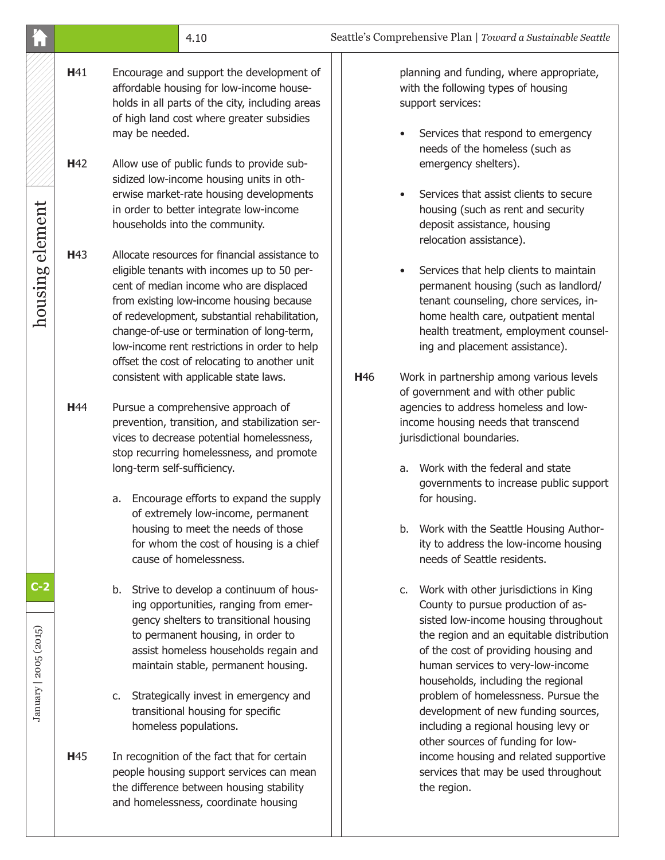|             | 4.10                                                                                                                                                                                                                                                                                                                                                                                                                                                                                                     | Seattle's Comprehensive Plan   Toward a Sustainable Seattle                                                                                                                                                                                                                                                                                                                                                                                                                                                                                         |
|-------------|----------------------------------------------------------------------------------------------------------------------------------------------------------------------------------------------------------------------------------------------------------------------------------------------------------------------------------------------------------------------------------------------------------------------------------------------------------------------------------------------------------|-----------------------------------------------------------------------------------------------------------------------------------------------------------------------------------------------------------------------------------------------------------------------------------------------------------------------------------------------------------------------------------------------------------------------------------------------------------------------------------------------------------------------------------------------------|
| H41         | Encourage and support the development of<br>affordable housing for low-income house-<br>holds in all parts of the city, including areas<br>of high land cost where greater subsidies<br>may be needed.                                                                                                                                                                                                                                                                                                   | planning and funding, where appropriate,<br>with the following types of housing<br>support services:<br>Services that respond to emergency<br>needs of the homeless (such as                                                                                                                                                                                                                                                                                                                                                                        |
| H42         | Allow use of public funds to provide sub-<br>sidized low-income housing units in oth-<br>erwise market-rate housing developments<br>in order to better integrate low-income<br>households into the community.                                                                                                                                                                                                                                                                                            | emergency shelters).<br>Services that assist clients to secure<br>housing (such as rent and security<br>deposit assistance, housing<br>relocation assistance).                                                                                                                                                                                                                                                                                                                                                                                      |
| H43         | Allocate resources for financial assistance to<br>eligible tenants with incomes up to 50 per-<br>cent of median income who are displaced<br>from existing low-income housing because<br>of redevelopment, substantial rehabilitation,<br>change-of-use or termination of long-term,<br>low-income rent restrictions in order to help<br>offset the cost of relocating to another unit<br>consistent with applicable state laws.                                                                          | Services that help clients to maintain<br>permanent housing (such as landlord/<br>tenant counseling, chore services, in-<br>home health care, outpatient mental<br>health treatment, employment counsel-<br>ing and placement assistance).<br>H46<br>Work in partnership among various levels                                                                                                                                                                                                                                                       |
| <b>H</b> 44 | Pursue a comprehensive approach of<br>prevention, transition, and stabilization ser-<br>vices to decrease potential homelessness,<br>stop recurring homelessness, and promote<br>long-term self-sufficiency.<br>Encourage efforts to expand the supply<br>a.<br>of extremely low-income, permanent<br>housing to meet the needs of those<br>for whom the cost of housing is a chief<br>cause of homelessness.                                                                                            | of government and with other public<br>agencies to address homeless and low-<br>income housing needs that transcend<br>jurisdictional boundaries.<br>Work with the federal and state<br>a.<br>governments to increase public support<br>for housing.<br>b. Work with the Seattle Housing Author-<br>ity to address the low-income housing<br>needs of Seattle residents.                                                                                                                                                                            |
| H45         | Strive to develop a continuum of hous-<br>b.<br>ing opportunities, ranging from emer-<br>gency shelters to transitional housing<br>to permanent housing, in order to<br>assist homeless households regain and<br>maintain stable, permanent housing.<br>Strategically invest in emergency and<br>c.<br>transitional housing for specific<br>homeless populations.<br>In recognition of the fact that for certain<br>people housing support services can mean<br>the difference between housing stability | Work with other jurisdictions in King<br>c.<br>County to pursue production of as-<br>sisted low-income housing throughout<br>the region and an equitable distribution<br>of the cost of providing housing and<br>human services to very-low-income<br>households, including the regional<br>problem of homelessness. Pursue the<br>development of new funding sources,<br>including a regional housing levy or<br>other sources of funding for low-<br>income housing and related supportive<br>services that may be used throughout<br>the region. |
|             |                                                                                                                                                                                                                                                                                                                                                                                                                                                                                                          | and homelessness, coordinate housing                                                                                                                                                                                                                                                                                                                                                                                                                                                                                                                |

 $\overline{\phantom{a}}$